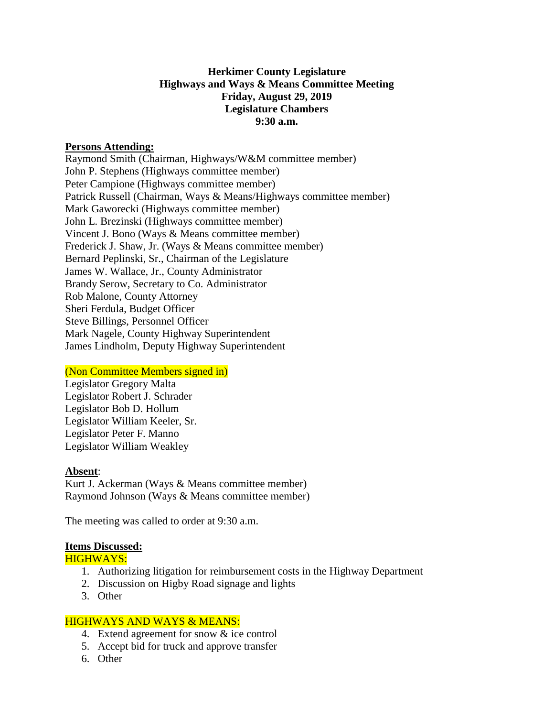## **Herkimer County Legislature Highways and Ways & Means Committee Meeting Friday, August 29, 2019 Legislature Chambers 9:30 a.m.**

#### **Persons Attending:**

Raymond Smith (Chairman, Highways/W&M committee member) John P. Stephens (Highways committee member) Peter Campione (Highways committee member) Patrick Russell (Chairman, Ways & Means/Highways committee member) Mark Gaworecki (Highways committee member) John L. Brezinski (Highways committee member) Vincent J. Bono (Ways & Means committee member) Frederick J. Shaw, Jr. (Ways & Means committee member) Bernard Peplinski, Sr., Chairman of the Legislature James W. Wallace, Jr., County Administrator Brandy Serow, Secretary to Co. Administrator Rob Malone, County Attorney Sheri Ferdula, Budget Officer Steve Billings, Personnel Officer Mark Nagele, County Highway Superintendent James Lindholm, Deputy Highway Superintendent

#### (Non Committee Members signed in)

Legislator Gregory Malta Legislator Robert J. Schrader Legislator Bob D. Hollum Legislator William Keeler, Sr. Legislator Peter F. Manno Legislator William Weakley

#### **Absent**:

Kurt J. Ackerman (Ways & Means committee member) Raymond Johnson (Ways & Means committee member)

The meeting was called to order at 9:30 a.m.

#### **Items Discussed:**

HIGHWAYS:

- 1. Authorizing litigation for reimbursement costs in the Highway Department
- 2. Discussion on Higby Road signage and lights
- 3. Other

## HIGHWAYS AND WAYS & MEANS:

- 4. Extend agreement for snow & ice control
- 5. Accept bid for truck and approve transfer
- 6. Other